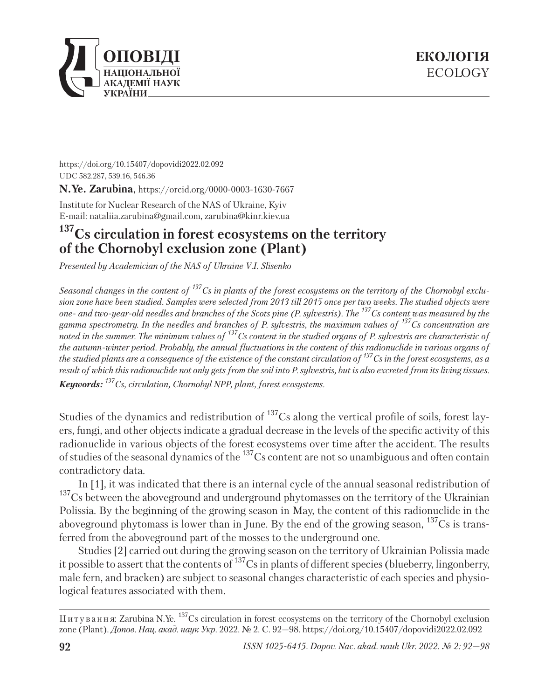

https://doi.org/10.15407/dopovidi2022.02.092 UDC 582.287, 539.16, 546.36

**N.Ye. Zarubina**, https://orcid.org/0000-0003-1630-7667

Institute for Nuclear Research of the NAS of Ukraine, Kyiv E-mail: nataliia.zarubina@gmail.com, zarubina@kinr.kiev.ua

## **137Cs circulation in forest ecosystems on the territory of the Chornobyl exclusion zone (Plant)**

*Presented by Academician of the NAS of Ukraine V.I. Slisenko*

*Seasonal changes in the content of 137Cs in plants of the forest ecosystems on the territory of the Chornobyl exclusion zone have been studied. Samples were selected from 2013 till 2015 once per two weeks. The studied objects were one- and two-year-old needles and branches of the Scots pine (P. sylvestris). The 137Cs content was measured by the gamma spectrometry. In the needles and branches of P. sylvestris, the maximum values of 137Cs concentration are noted in the summer. The minimum values of 137Cs content in the studied organs of P. sylvestris are characteristic of the autumn-winter period. Probably, the annual fluctuations in the content of this radionuclide in various organs of the studied plants are a consequence of the existence of the constant circulation of 137Cs in the forest ecosystems, as a result of which this radionuclide not only gets from the soil into P. sylvestris, but is also excreted from its living tissues. Keywords: 137Cs, circulation, Chornobyl NPP, plant, forest ecosystems.*

Studies of the dynamics and redistribution of <sup>137</sup>Cs along the vertical profile of soils, forest layers, fungi, and other objects indicate a gradual decrease in the levels of the specific activity of this radionuclide in various objects of the forest ecosystems over time after the accident. The results of studies of the seasonal dynamics of the  $^{137}$ Cs content are not so unambiguous and often contain contradictory data.

In [1], it was indicated that there is an internal cycle of the annual seasonal redistribution of <sup>137</sup>Cs between the aboveground and underground phytomasses on the territory of the Ukrainian Polissia. By the beginning of the growing season in May, the content of this radionuclide in the aboveground phytomass is lower than in June. By the end of the growing season,  $^{137}Cs$  is transferred from the aboveground part of the mosses to the underground one.

Studies [2] carried out during the growing season on the territory of Ukrainian Polissia made it possible to assert that the contents of 137Cs in plants of different species (blueberry, lingonberry, male fern, and bracken) are subject to seasonal changes characteristic of each species and physiological features associated with them.

Ц и т у в а н н я: Zarubina N.Ye.  $137$ Cs circulation in forest ecosystems on the territory of the Chornobyl exclusion zone (Plant). *Допов*. *Нац. акад. наук Укр.* 2022. № 2. С. 92—98. https://doi.org/10.15407/dopovidi2022.02.092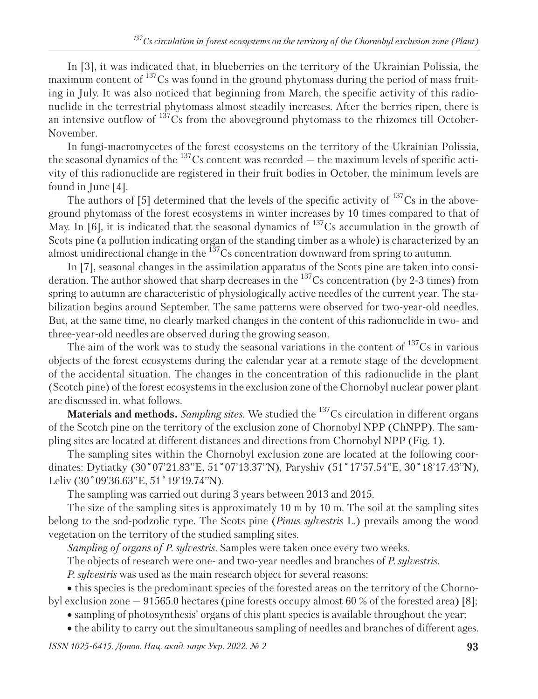In [3], it was indicated that, in blueberries on the territory of the Ukrainian Polissia, the maximum content of  $137$ Cs was found in the ground phytomass during the period of mass fruiting in July. It was also noticed that beginning from March, the specific activity of this radionuclide in the terrestrial phytomass almost steadily increases. After the berries ripen, there is an intensive outflow of  $137\text{Cs}$  from the aboveground phytomass to the rhizomes till October-November.

In fungi-macromycetes of the forest ecosystems on the territory of the Ukrainian Polissia, the seasonal dynamics of the  $^{137}$ Cs content was recorded  $-$  the maximum levels of specific activity of this radionuclide are registered in their fruit bodies in October, the minimum levels are found in June [4].

The authors of [5] determined that the levels of the specific activity of  $137Cs$  in the aboveground phytomass of the forest ecosystems in winter increases by 10 times compared to that of May. In [6], it is indicated that the seasonal dynamics of  $^{137}Cs$  accumulation in the growth of Scots pine (a pollution indicating organ of the standing timber as a whole) is characterized by an almost unidirectional change in the <sup>137</sup>Cs concentration downward from spring to autumn.

In [7], seasonal changes in the assimilation apparatus of the Scots pine are taken into consideration. The author showed that sharp decreases in the  $^{137}Cs$  concentration (by 2-3 times) from spring to autumn are characteristic of physiologically active needles of the current year. The stabilization begins around September. The same patterns were observed for two-year-old needles. But, at the same time, no clearly marked changes in the content of this radionuclide in two- and three-year-old needles are observed during the growing season.

The aim of the work was to study the seasonal variations in the content of  $137Cs$  in various objects of the forest ecosystems during the calendar year at a remote stage of the development of the accidental situation. The changes in the concentration of this radionuclide in the plant (Scotch pine) of the forest ecosystems in the exclusion zone of the Chornobyl nuclear power plant are discussed in. what follows.

**Materials and methods.** *Sampling sites.* We studied the 137Cs circulation in different organs of the Scotch pine on the territory of the exclusion zone of Chornobyl NPP (ChNPP). The sampling sites are located at different distances and directions from Chornobyl NPP (Fig. 1).

The sampling sites within the Chornobyl exclusion zone are located at the following coordinates: Dytiatky (30˚07'21.83''E, 51˚07'13.37''N), Paryshiv (51˚17'57.54''E, 30˚18'17.43''N), Leliv (30°09'36.63"E, 51°19'19.74"N).

The sampling was carried out during 3 years between 2013 and 2015.

The size of the sampling sites is approximately 10 m by 10 m. The soil at the sampling sites belong to the sod-podzolic type. The Scots pine (*Pinus sylvestris* L*.*) prevails among the wood vegetation on the territory of the studied sampling sites.

*Sampling of organs of P. sylvestris.* Samples were taken once every two weeks.

The objects of research were one- and two-year needles and branches of *P. sylvestris.*

*P. sylvestris* was used as the main research object for several reasons:

this species is the predominant species of the forested areas on the territory of the Chornobyl exclusion zone — 91565.0 hectares (pine forests occupy almost 60 % of the forested area) [8];

sampling of photosynthesis' organs of this plant species is available throughout the year;

• the ability to carry out the simultaneous sampling of needles and branches of different ages.

*ISSN 1025-6415. Допов. Нац. акад. наук Укр. 2022. № 2* **93**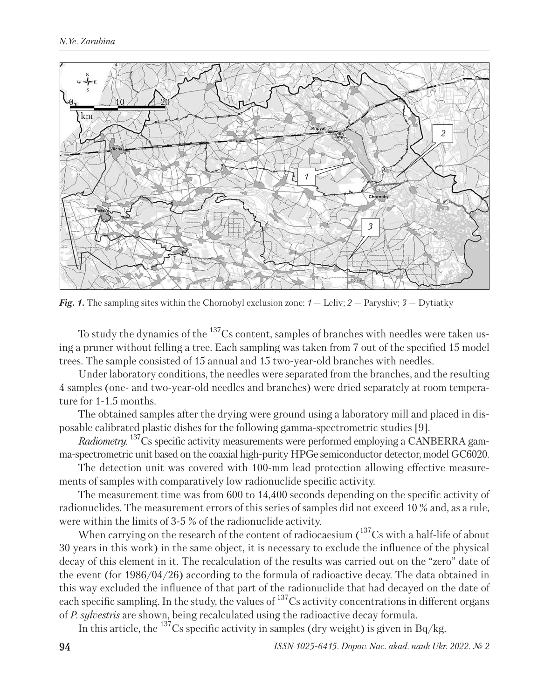

*Fig. 1.* The sampling sites within the Chornobyl exclusion zone: *1* — Leliv; *2* — Paryshiv; *3* — Dytiatky

To study the dynamics of the  $^{137}$ Cs content, samples of branches with needles were taken using a pruner without felling a tree. Each sampling was taken from 7 out of the specified 15 model trees. The sample consisted of 15 annual and 15 two-year-old branches with needles.

Under laboratory conditions, the needles were separated from the branches, and the resulting 4 samples (one- and two-year-old needles and branches) were dried separately at room temperature for 1-1.5 months.

The obtained samples after the drying were ground using a laboratory mill and placed in disposable calibrated plastic dishes for the following gamma-spectrometric studies [9].

*Radiometry.* <sup>137</sup>Cs specific activity measurements were performed employing a CANBERRA gamma-spectrometric unit based on the coaxial high-purity HPGe semiconductor detector, model GC6020.

The detection unit was covered with 100-mm lead protection allowing effective measurements of samples with comparatively low radionuclide specific activity.

The measurement time was from 600 to 14,400 seconds depending on the specific activity of radionuclides. The measurement errors of this series of samples did not exceed 10 % and, as a rule, were within the limits of 3-5 % of the radionuclide activity.

When carrying on the research of the content of radiocaesium  $(137)$ Cs with a half-life of about 30 years in this work) in the same object, it is necessary to exclude the influence of the physical decay of this element in it. The recalculation of the results was carried out on the "zero" date of the event (for 1986/04/26) according to the formula of radioactive decay. The data obtained in this way excluded the influence of that part of the radionuclide that had decayed on the date of each specific sampling. In the study, the values of  $^{137}$ Cs activity concentrations in different organs of *P. sylvestris* are shown, being recalculated using the radioactive decay formula.

In this article, the  $^{137}$ Cs specific activity in samples (dry weight) is given in Bq/kg.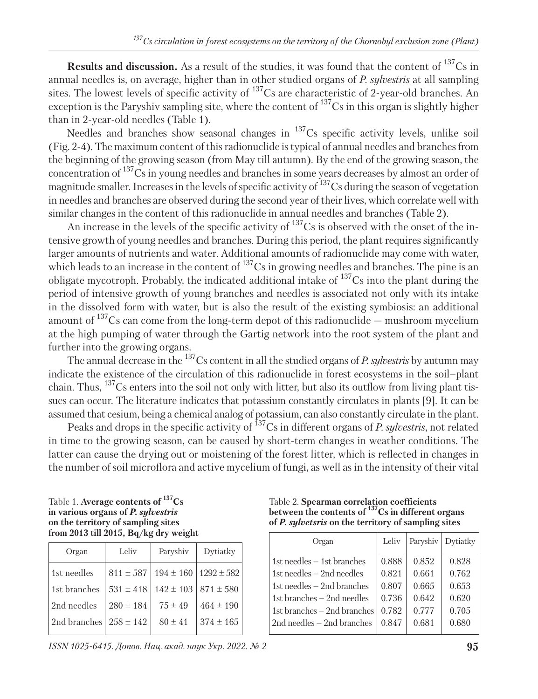**Results and discussion.** As a result of the studies, it was found that the content of <sup>137</sup>Cs in annual needles is, on average, higher than in other studied organs of *P. sylvestris* at all sampling sites. The lowest levels of specific activity of  $^{137}$ Cs are characteristic of 2-year-old branches. An exception is the Paryshiv sampling site, where the content of  $^{137}Cs$  in this organ is slightly higher than in 2-year-old needles (Table 1).

Needles and branches show seasonal changes in <sup>137</sup>Cs specific activity levels, unlike soil (Fig. 2-4). The maximum content of this radionuclide is typical of annual needles and branches from the beginning of the growing season (from May till autumn). By the end of the growing season, the concentration of 137Cs in young needles and branches in some years decreases by almost an order of magnitude smaller. Increases in the levels of specific activity of  $^{137}$ Cs during the season of vegetation in needles and branches are observed during the second year of their lives, which correlate well with similar changes in the content of this radionuclide in annual needles and branches (Table 2).

An increase in the levels of the specific activity of  $^{137}Cs$  is observed with the onset of the intensive growth of young needles and branches. During this period, the plant requires significantly larger amounts of nutrients and water. Additional amounts of radionuclide may come with water, which leads to an increase in the content of <sup>137</sup>Cs in growing needles and branches. The pine is an obligate mycotroph. Probably, the indicated additional intake of  $137Cs$  into the plant during the period of intensive growth of young branches and needles is associated not only with its intake in the dissolved form with water, but is also the result of the existing symbiosis: an additional amount of  $137$ Cs can come from the long-term depot of this radionuclide — mushroom mycelium at the high pumping of water through the Gartig network into the root system of the plant and further into the growing organs.

The annual decrease in the 137Cs content in all the studied organs of *P. sylvestris* by autumn may indicate the existence of the circulation of this radionuclide in forest ecosystems in the soil–plant chain. Thus, <sup>137</sup>Cs enters into the soil not only with litter, but also its outflow from living plant tissues can occur. The literature indicates that potassium constantly circulates in plants [9]. It can be assumed that cesium, being a chemical analog of potassium, can also constantly circulate in the plant.

Peaks and drops in the specific activity of <sup>137</sup>Cs in different organs of *P. sylvestris*, not related in time to the growing season, can be caused by short-term changes in weather conditions. The latter can cause the drying out or moistening of the forest litter, which is reflected in changes in the number of soil microflora and active mycelium of fungi, as well as in the intensity of their vital

| Table 1. Average contents of $137Cs$      |
|-------------------------------------------|
| in various organs of <i>P. sylvestris</i> |
| on the territory of sampling sites        |
| from 2013 till 2015, Bq/kg dry weight     |

| Organ          | Leliv         | Paryshiv      | Dytiatky       |
|----------------|---------------|---------------|----------------|
| 1st needles    | $811 \pm 587$ | $194 \pm 160$ | $1292 \pm 582$ |
| l 1st branches | $531 \pm 418$ | $142 \pm 103$ | $871 \pm 580$  |
| 2nd needles    | $280 \pm 184$ | $75 \pm 49$   | $464 \pm 190$  |
| 2nd branches   | $258 \pm 142$ | $80 \pm 41$   | $374 \pm 165$  |

*ISSN 1025-6415. Допов. Нац. акад. наук Укр. 2022. № 2* **95**

Table 2. **Spearman correlation coefficients between the contents of 137Cs in different organs of** *P. sylvetsris* **on the territory of sampling sites**

| Organ                          | Leliv | Paryshiv | Dytiatky |
|--------------------------------|-------|----------|----------|
| $1st$ needles $-1st$ branches  | 0.888 | 0.852    | 0.828    |
| $1st$ needles $-$ 2nd needles  | 0.821 | 0.661    | 0.762    |
| 1st needles $-$ 2nd branches   | 0.807 | 0.665    | 0.653    |
| 1st branches $-$ 2nd needles   | 0.736 | 0.642    | 0.620    |
| 1st branches $-$ 2nd branches  | 0.782 | 0.777    | 0.705    |
| $2nd$ needles $-$ 2nd branches | 0.847 | 0.681    | 0.680    |
|                                |       |          |          |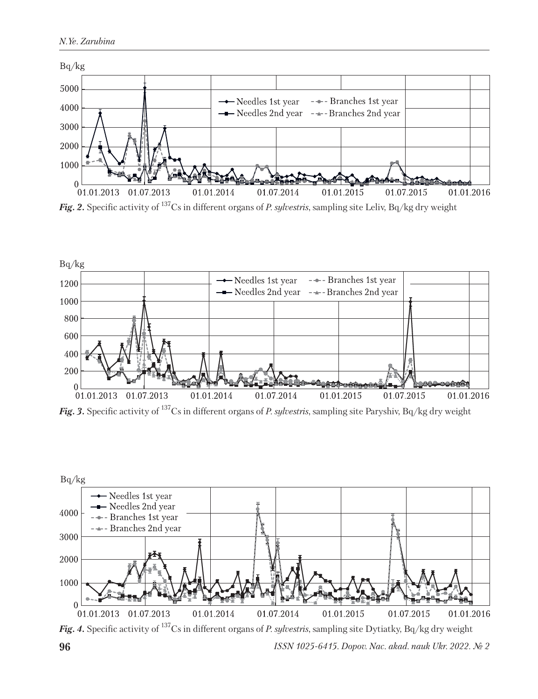

*Fig. 2.* Specific activity of 137Cs in different organs of *P. sylvestris*, sampling site Leliv, Bq/kg dry weight



*Fig. 3.* Specific activity of 137Cs in different organs of *P. sylvestris*, sampling site Paryshiv, Bq/kg dry weight



*Fig. 4.* Specific activity of 137Cs in different organs of *P. sylvestris*, sampling site Dytiatky, Bq/kg dry weight

**96** *ISSN 1025-6415. Dopov. Nac. akad. nauk Ukr. 2022. № 2*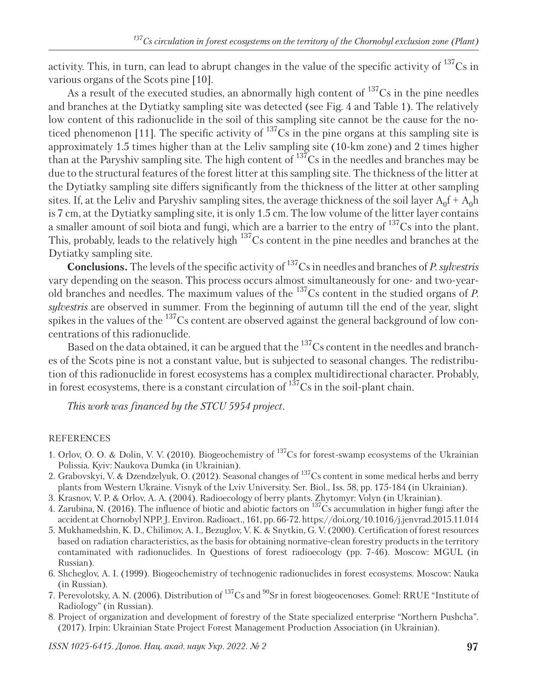activity. This, in turn, can lead to abrupt changes in the value of the specific activity of <sup>137</sup>Cs in various organs of the Scots pine [10].

As a result of the executed studies, an abnormally high content of  $^{137}Cs$  in the pine needles and branches at the Dytiatky sampling site was detected (see Fig. 4 and Table 1). The relatively low content of this radionuclide in the soil of this sampling site cannot be the cause for the noticed phenomenon [11]. The specific activity of  $^{137}Cs$  in the pine organs at this sampling site is approximately 1.5 times higher than at the Leliv sampling site (10-km zone) and 2 times higher than at the Paryshiv sampling site. The high content of  $^{137}Cs$  in the needles and branches may be due to the structural features of the forest litter at this sampling site. The thickness of the litter at the Dytiatky sampling site differs significantly from the thickness of the litter at other sampling sites. If, at the Leliv and Paryshiv sampling sites, the average thickness of the soil layer  $A_0f + A_0h$ is 7 cm, at the Dytiatky sampling site, it is only 1.5 cm. The low volume of the litter layer contains a smaller amount of soil biota and fungi, which are a barrier to the entry of  $137$ Cs into the plant. This, probably, leads to the relatively high <sup>137</sup>Cs content in the pine needles and branches at the Dytiatky sampling site.

**Conclusions.** The levels of the specific activity of 137Cs in needles and branches of *P. sylvestris* vary depending on the season. This process occurs almost simultaneously for one- and two-yearold branches and needles. The maximum values of the 137Cs content in the studied organs of *P. sylvestris* are observed in summer. From the beginning of autumn till the end of the year, slight spikes in the values of the  $^{137}Cs$  content are observed against the general background of low concentrations of this radionuclide.

Based on the data obtained, it can be argued that the  $^{137}$ Cs content in the needles and branches of the Scots pine is not a constant value, but is subjected to seasonal changes. The redistribution of this radionuclide in forest ecosystems has a complex multidirectional character. Probably, in forest ecosystems, there is a constant circulation of  $1^{37}Cs$  in the soil-plant chain.

*This work was financed by the STCU 5954 project.*

## REFERENCES

- 1. Orlov, O. O. & Dolin, V. V. (2010). Biogeochemistry of 137Cs for forest-swamp ecosystems of the Ukrainian Polissia. Kyiv: Naukova Dumka (in Ukrainian).
- 2. Grabovskyi, V. & Dzendzelyuk, O. (2012). Seasonal changes of 137Cs content in some medical herbs and berry plants from Western Ukraine. Visnyk of the Lviv University. Ser. Biol., Iss. 58, pp. 175-184 (in Ukrainian).
- 3. Krasnov, V. P. & Orlov, A. A. (2004). Radioecology of berry plants. Zhytomyr: Volyn (in Ukrainian).
- 4. Zarubina, N. (2016). The influence of biotic and abiotic factors on 137Cs accumulation in higher fungi after the accident at Chornobyl NPP. J. Environ. Radioact., 161, pp. 66-72. https://doi.org/10.1016/j.jenvrad.2015.11.014
- 5. Mukhamedshin, K. D., Chilimov, A. I., Bezuglov, V. K. & Snytkin, G. V. (2000). Certification of forest resources based on radiation characteristics, as the basis for obtaining normative-clean forestry products in the territory contaminated with radionuclides. In Questions of forest radioecology (pp. 7-46). Moscow: MGUL (in Russian).
- 6. Shcheglov, A. I. (1999). Biogeochemistry of technogenic radionuclides in forest ecosystems. Moscow: Nauka (in Russian).
- 7. Perevolotsky, A. N. (2006). Distribution of 137Cs and 90Sr in forest biogeocenoses. Gomel: RRUE "Institute of Radiology" (in Russian).
- 8. Project of organization and development of forestry of the State specialized enterprise "Northern Pushcha". (2017). Irpin: Ukrainian State Project Forest Management Production Association (in Ukrainian).

*ISSN 1025-6415. Допов. Нац. акад. наук Укр. 2022. № 2* **97**